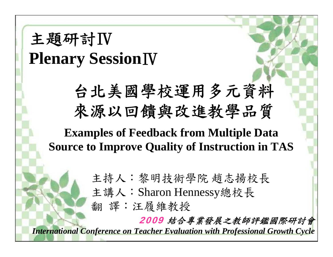## 主題研討Ⅳ **Plenary Session**Ⅳ

台北美國學校運用多元資料 來源以回饋與改進教學品質

**Examples of Feedback from Multiple Data Source to Improve Quality of Instruction in TAS**

主持人:黎明技術學院 趙志揚校長

主講人:Sharon Hennessy總校長

翻 譯:汪履維教授

2009 結合專業發展之教師評鑑國際研討會

*International Conference on Teacher Evaluation with Professional Growth Cycle*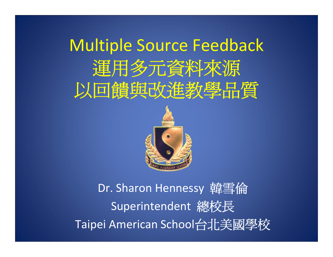# Multiple Source Feedback 運用多元資料來源 以回饋與改進教學品質



Dr. Sharon Hennessy 韓雪倫 Superintendent 總校長 Taipei American School台北美國學校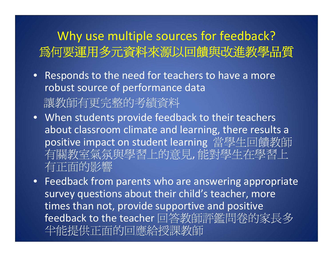#### Why use multiple sources for feedback? 為何要運用多元資料來源以回饋與改進教學品質

- Responds to the need for teachers to have <sup>a</sup> more robust source of performance data 讓教師有更完整的考績資料
- When students provide feedback to their teachers about classroom climate and learning, there results <sup>a</sup> positive impact on student learning 當學生回饋教師 有關教室氣氛與學習上的意見, 能對學生在學習上 有正面的影響
- Feedback from parents who are answering appropriate survey questions about their child's teacher, more times than not, provide supportive and positive feedback to the teacher 回答教師評鑑問卷的家長多 半能提供正面的回應給授課教師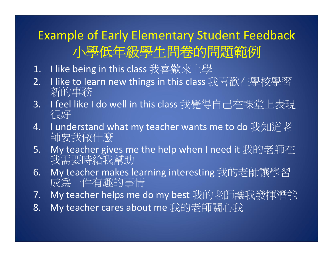### Example of Early Elementary Student Feedback 小學低年級學生問卷的問題範例

- 1.. Ilike being in this class 我喜歡來上學
- 2.. Ilike to learn new things in this class 我喜歡在學校學習 新的事務
- 3.. I feel like I do well in this class 我覺得自己在課堂上表現<br> 很好
- 4.. I understand what my teacher wants me to do 我知道老<br> 師要我做什麼
- 5.My teacher gives me the help when I need it 我的老師在<br>我需要時給我幫助
- 6.My teacher makes learning interesting 我的老師讓學習 成為一件有趣的事情
- 7.My teacher helps me do my best 我的老師讓我發揮潛能
- 8.My teacher cares about me 我的老師關心我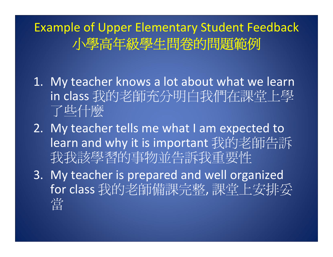Example of Upper Elementary Student Feedback 小學高年級學生問卷的問題範例

- 1. My teacher knows <sup>a</sup> lot about what we learn in class 我的老師充分明白我們在課堂上學 了些什麼
- 2. My teacher tells me what I am expected to learn and why it is important 我的老師告訴 我我該學習的事物並告訴我重要性
- 3. My teacher is prepared and well organized for class 我的老師備課完整, 課堂上安排妥 當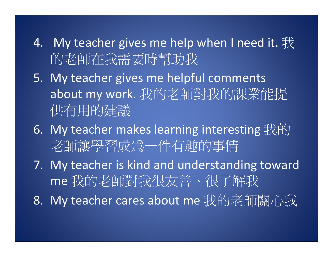- 4.  $\,$  My teacher gives me help when I need it.  $\rm \not\!\!\!\! \!\not\!\!\!\! \times$ 的老師在我需要時幫助我
- 5. My teacher gives me helpful comments about my work. 我的老師對我的課業能提 供有用的建議
- 6. My teacher makes learning interesting 我的 老師讓學習成為一件有趣的事情
- 7. My teacher is kind and understanding toward me 我的老師對我很友善、很了解我
- 8. My teacher cares about me 我的老師關心我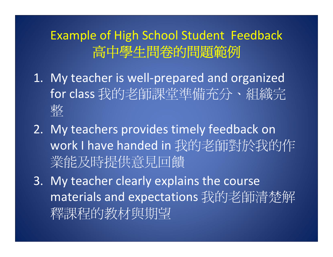#### Example of High School Student Feedback 高中學生問卷的問題範例

- 1. My teacher is well‐prepared and organized for class 我的老師課堂準備充分、組織完 整
- 2. My teachers provides timely feedback on work I have handed in 我的老師對於我的作 業能及時提供意見回饋
- 3. My teacher clearly explains the course materials and expectations 我的老師清楚解 釋課程的教材與期望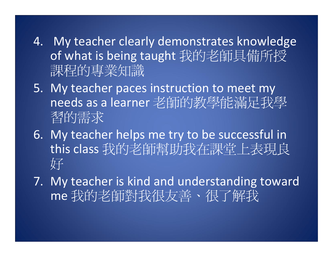- 4. My teacher clearly demonstrates knowledge of what is being taught 我的老師具備所授 課程的專業知識
- 5. My teacher paces instruction to meet my needs as a learner 老師的教學能滿足我學 習的需求
- 6. My teacher helps me try to be successful in this class 我的老師幫助我在課堂上表現良 好
- 7. My teacher is kind and understanding toward me 我的老師對我很友善、很了解我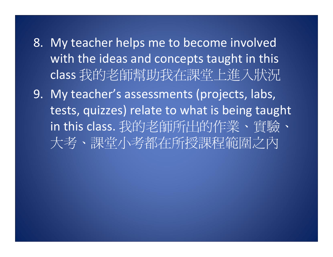- 8. My teacher helps me to become involved with the ideas and concepts taught in this class 我的老師幫助我在課堂上進入狀況
- 9. My teacher's assessments (projects, labs, tests, quizzes) relate to what is being taught in this class. 我的老師所出的作業、實驗、 大考、課堂小考都在所授課程範圍之內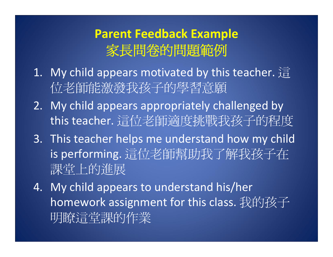#### **Parent Feedback Example** 家長問卷的問題範例

- $1. \;$  My child appears motivated by this teacher.  $\mathrm{\hat{\ddot{\Xi}}}$ 位老師能激發我孩子的學習意願
- 2. My child appears appropriately challenged by this teacher. 這位老師適度挑戰我孩子的程度
- 3. This teacher helps me understand how my child is performing. 這位老師幫助我了解我孩子在 課堂上的進展
- 4. My child appears to understand his/her homework assignment for this class. 我的孩子 明瞭這堂課的作業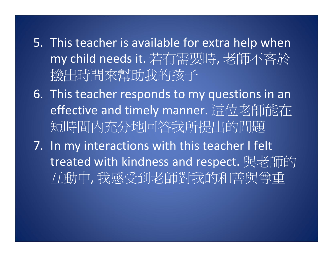- 5. This teacher is available for extra help when my child needs it. 若有需要時, 老師不吝於 撥出時間來幫助我的孩子
- 6. This teacher responds to my questions in an effective and timely manner. 這位老師能在 短時間內充分地回答我所提出的問題
- 7. In my interactions with this teacher I felt treated with kindness and respect. 與老師的 互動中, 我感受到老師對我的和善與尊重